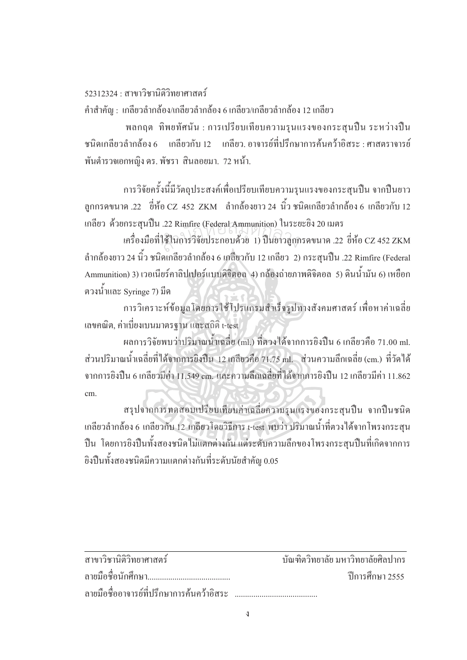## $52312324 \cdot \hat{\sigma}$ าขาวิชาบิติวิทยาศาสตร์

้คำสำคัญ : เกลียวลำกล้อง/เกลียวลำกล้อง 6 เกลียว/เกลียวลำกล้อง 12 เกลียว

พลกฤต ทิพยทัศนัน : การเปรียบเทียบความรุนแรงของกระสุนปืน ระหว่างปืน ำหนิดเกลียวลำกล้อง 6 แกลียวกับ 12 เกลียว อาจารย์ที่ปรึกษาการค้นคว้าอิสระ : ศาสตราจารย์ พันตำรวจเอกหญิง คร. พัชรา สินลอยมา. *7*2 หน้า.

การวิจัยครั้งนี้มีวัตถุประสงค์เพื่อเปรียบเทียบความรุนแรงของกระสุนปืน จากปืนยาว ´Ê ิลูกกรดขนาด .22 ซี่ห้อ CZ 452 ZKM ลำกล้องยาว 24 นิ้ว ชนิดเกลียวลำกล้อง 6 เกลียวกับ 12 เกลียว ด้วยกระสนปืน .22 Rimfire (Federal Ammunition) ในระยะยิง 20 เมตร

เครื่องมือที่ใช้ในการวิจัยประกอบด้วย 1) ปืนยาวลูกกรดขนาด .22 ขี่ห้อ CZ 452 ZKM ºÉ ้ ลำกล้องยาว 24 นิ้ว ชนิดเกลียวลำกล้อง 6 เกลียวกับ 12 เกลียว 2) กระสุนปืน .22 Rimfire (Federal Ammunition) 3) เวอเนียร์คาลิปเปอร์แบบดิจิตอล 4) กล้องถ่ายภาพดิจิตอล 5) ดินน้ำมัน 6) เหยือก Î. ตวงน้ำและ Syringe 7) มีด ÊÎ .22 Rimfire (Federal Ammunition) ในระย<br>ใช้ในการวิจัยประกอบด้วย 1) ปืนยาวลูกก

การวิเคราะห์ข้อมูลโดยการใช้โปรแกรมสำเร็จรูปทางสังคมศาสตร์ เพื่อหาค่าเฉลี่ย เลขคณิต, ค่าเบี่ยงเบนมาตรฐาน และสถิติ t-test ¸É

ผลการวิจัยพบว่าปริมาณน้ำเฉลี่ย (ml.) ที่ตวงใค้จากการยิงปืน 6 เกลียวคือ 71.00 ml. ÊÎ ส่วนปริมาณน้ำเฉลี่ยที่ได้จากการยิงปืน 12 เกลียวคือ 71.75 ml. ส่วนความลึกเฉลี่ย (cm.) ที่วัดได้ Î จากการยิงปืน 6 เกลียวมีค่า 11.549 cm. และความลึกเฉลี่ยที่ได้จากการยิงปืน 12 เกลียวมีค่า 11.862 ∫ cm.

สรุปจากการทดสอบเปรียบเทียบค่าเฉลี่ยความรุนแรงของกระสุนปืน จากปืนชนิด ∫ เกลียวลำกล้อง 6 เกลียวกับ 12 เกลียวโคยวิธีการ t-test พบว่า ปริมาณน้ำที่ตวงใด้จากโพรงกระสุน Î ปืน โดยการยิงปืนทั้งสองชนิดไม่แตกต่างกัน แต่ระดับความลึกของโพรงกระสุนปืนที่เกิดจากการ ´Ê ยิงปืนทั้งสองชนิดมีความแตกต่างกันที่ระดับนัยสำคัญ 0.05 ´Ê ¸É

| ิสาขาวิชานิติวิทยาศาสตร์                    | ิ บัณฑิตวิทยาลัย มหาวิทยาลัยศิลปากร |
|---------------------------------------------|-------------------------------------|
|                                             | ปีการศึกษา 2555                     |
| ิ ลายมือชื่ออาจารย์ที่ปรึกษาการค้นคว้าอิสระ |                                     |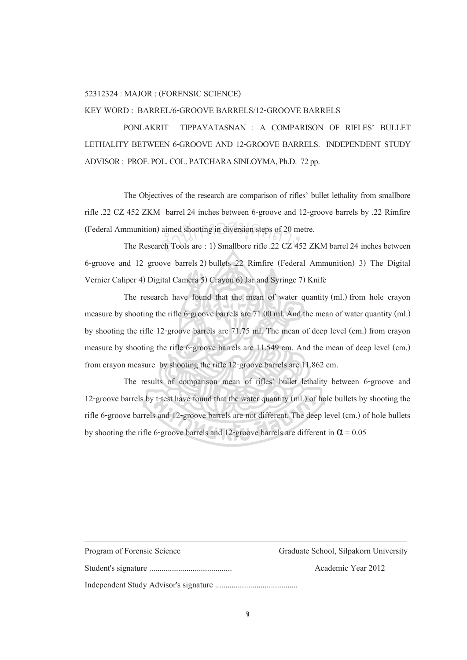## 52312324 : MAJOR : (FORENSIC SCIENCE)

## KEY WORD : BARREL/6-GROOVE BARRELS/12-GROOVE BARRELS

 PONLAKRIT TIPPAYATASNAN : A COMPARISON OF RIFLES' BULLET LETHALITY BETWEEN 6-GROOVE AND 12-GROOVE BARRELS. INDEPENDENT STUDY ADVISOR : PROF. POL. COL. PATCHARA SINLOYMA, Ph.D. 72 pp.

 The Objectives of the research are comparison of rifles' bullet lethality from smallbore rifle .22 CZ 452 ZKM barrel 24 inches between 6-groove and 12-groove barrels by .22 Rimfire (Federal Ammunition) aimed shooting in diversion steps of 20 metre.<br>The Research Tools are: 1) Smallbore rifle .22 CZ 452 ZI

 The Research Tools are : 1) Smallbore rifle .22 CZ 452 ZKM barrel 24 inches between 6-groove and 12 groove barrels 2) bullets .22 Rimfire (Federal Ammunition) 3) The Digital Vernier Caliper 4) Digital Camera 5) Crayon 6) Jar and Syringe 7) Knife

 The research have found that the mean of water quantity (ml.) from hole crayon measure by shooting the rifle 6-groove barrels are 71.00 ml. And the mean of water quantity (ml.) by shooting the rifle 12-groove barrels are 71.75 ml. The mean of deep level (cm.) from crayon measure by shooting the rifle 6-groove barrels are 11.549 cm. And the mean of deep level (cm.) from crayon measure by shooting the rifle 12-groove barrels are 11.862 cm.

 The results of comparison mean of rifles' bullet lethality between 6-groove and 12-groove barrels by t-test have found that the water quantity (ml.) of hole bullets by shooting the rifle 6-groove barrels and 12-groove barrels are not different. The deep level (cm.) of hole bullets by shooting the rifle 6-groove barrels and 12-groove barrels are different in  $\alpha$  = 0.05

| Program of Forensic Science | Graduate School, Silpakorn University |
|-----------------------------|---------------------------------------|
|                             | Academic Year 2012                    |
|                             |                                       |